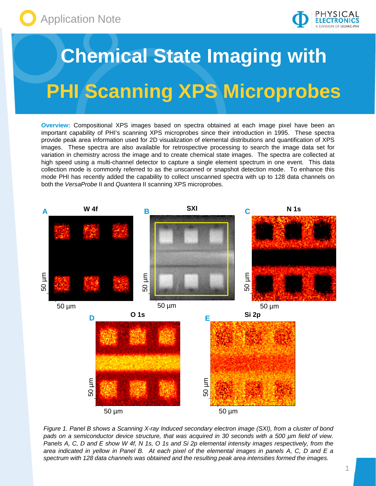



## **Chemical State Imaging with PHI Scanning XPS Microprobes**

**Overview:** Compositional XPS images based on spectra obtained at each image pixel have been an important capability of PHI's scanning XPS microprobes since their introduction in 1995. These spectra provide peak area information used for 2D visualization of elemental distributions and quantification of XPS images. These spectra are also available for retrospective processing to search the image data set for variation in chemistry across the image and to create chemical state images. The spectra are collected at high speed using a multi-channel detector to capture a single element spectrum in one event. This data collection mode is commonly referred to as the unscanned or snapshot detection mode. To enhance this mode PHI has recently added the capability to collect unscanned spectra with up to 128 data channels on both the *VersaProbe* II and *Quantera* II scanning XPS microprobes.



*Figure 1. Panel B shows a Scanning X-ray Induced secondary electron image (SXI), from a cluster of bond pads on a semiconductor device structure, that was acquired in 30 seconds with a 500 µm field of view. Panels A, C, D and E show W 4f, N 1s, O 1s and Si 2p elemental intensity images respectively, from the area indicated in yellow in Panel B. At each pixel of the elemental images in panels A, C, D and E a spectrum with 128 data channels was obtained and the resulting peak area intensities formed the images.*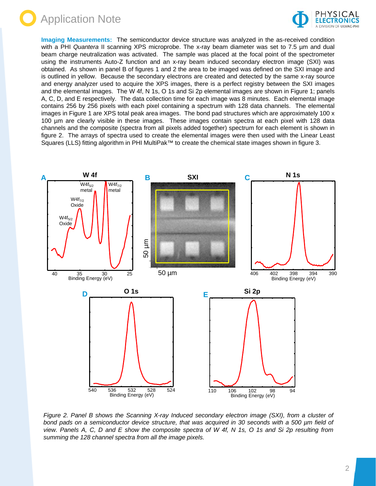



**Imaging Measurements:** The semiconductor device structure was analyzed in the as-received condition with a PHI *Quantera* II scanning XPS microprobe. The x-ray beam diameter was set to 7.5 µm and dual beam charge neutralization was activated. The sample was placed at the focal point of the spectrometer using the instruments Auto-Z function and an x-ray beam induced secondary electron image (SXI) was obtained. As shown in panel B of figures 1 and 2 the area to be imaged was defined on the SXI image and is outlined in yellow. Because the secondary electrons are created and detected by the same x-ray source and energy analyzer used to acquire the XPS images, there is a perfect registry between the SXI images and the elemental images. The W 4f, N 1s, O 1s and Si 2p elemental images are shown in Figure 1; panels A, C, D, and E respectively. The data collection time for each image was 8 minutes. Each elemental image contains 256 by 256 pixels with each pixel containing a spectrum with 128 data channels. The elemental images in Figure 1 are XPS total peak area images. The bond pad structures which are approximately 100 x 100 µm are clearly visible in these images. These images contain spectra at each pixel with 128 data channels and the composite (spectra from all pixels added together) spectrum for each element is shown in figure 2. The arrays of spectra used to create the elemental images were then used with the Linear Least Squares (LLS) fitting algorithm in PHI MultiPak™ to create the chemical state images shown in figure 3.



*Figure 2. Panel B shows the Scanning X-ray Induced secondary electron image (SXI), from a cluster of bond pads on a semiconductor device structure, that was acquired in 30 seconds with a 500 µm field of view. Panels A, C, D and E show the composite spectra of W 4f, N 1s, O 1s and Si 2p resulting from summing the 128 channel spectra from all the image pixels.*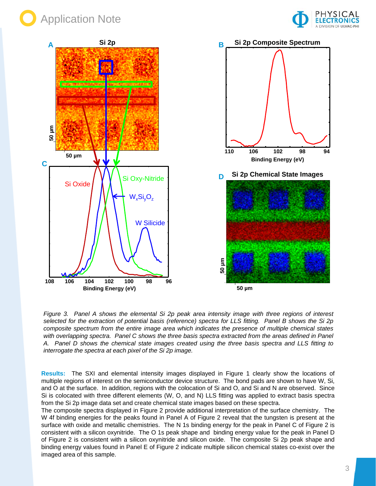





*Figure 3. Panel A shows the elemental Si 2p peak area intensity image with three regions of interest selected for the extraction of potential basis (reference) spectra for LLS fitting. Panel B shows the Si 2p composite spectrum from the entire image area which indicates the presence of multiple chemical states with overlapping spectra. Panel C shows the three basis spectra extracted from the areas defined in Panel A. Panel D shows the chemical state images created using the three basis spectra and LLS fitting to interrogate the spectra at each pixel of the Si 2p image.*

**Results:** The SXI and elemental intensity images displayed in Figure 1 clearly show the locations of multiple regions of interest on the semiconductor device structure. The bond pads are shown to have W, Si, and O at the surface. In addition, regions with the colocation of Si and O, and Si and N are observed. Since Si is colocated with three different elements (W, O, and N) LLS fitting was applied to extract basis spectra from the Si 2p image data set and create chemical state images based on these spectra.

The composite spectra displayed in Figure 2 provide additional interpretation of the surface chemistry. The W 4f binding energies for the peaks found in Panel A of Figure 2 reveal that the tungsten is present at the surface with oxide and metallic chemistries. The N 1s binding energy for the peak in Panel C of Figure 2 is consistent with a silicon oxynitride. The O 1s peak shape and binding energy value for the peak in Panel D of Figure 2 is consistent with a silicon oxynitride and silicon oxide. The composite Si 2p peak shape and binding energy values found in Panel E of Figure 2 indicate multiple silicon chemical states co-exist over the imaged area of this sample.